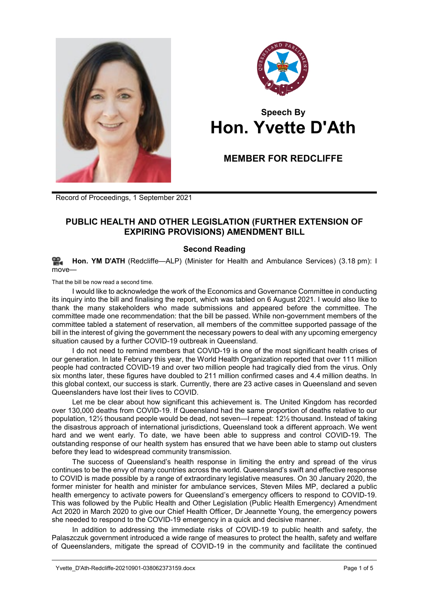



## **Speech By Hon. Yvette D'Ath**

## **MEMBER FOR REDCLIFFE**

Record of Proceedings, 1 September 2021

## **PUBLIC HEALTH AND OTHER LEGISLATION (FURTHER EXTENSION OF EXPIRING PROVISIONS) AMENDMENT BILL**

## **Second Reading**

≌. **[Hon. YM](http://www.parliament.qld.gov.au/docs/find.aspx?id=0Mba20210901_151859) D'ATH** (Redcliffe—ALP) (Minister for Health and Ambulance Services) (3.18 pm): I  $m$  $N$  $\approx$ 

That the bill be now read a second time.

I would like to acknowledge the work of the Economics and Governance Committee in conducting its inquiry into the bill and finalising the report, which was tabled on 6 August 2021. I would also like to thank the many stakeholders who made submissions and appeared before the committee. The committee made one recommendation: that the bill be passed. While non-government members of the committee tabled a statement of reservation, all members of the committee supported passage of the bill in the interest of giving the government the necessary powers to deal with any upcoming emergency situation caused by a further COVID-19 outbreak in Queensland.

I do not need to remind members that COVID-19 is one of the most significant health crises of our generation. In late February this year, the World Health Organization reported that over 111 million people had contracted COVID-19 and over two million people had tragically died from the virus. Only six months later, these figures have doubled to 211 million confirmed cases and 4.4 million deaths. In this global context, our success is stark. Currently, there are 23 active cases in Queensland and seven Queenslanders have lost their lives to COVID.

Let me be clear about how significant this achievement is. The United Kingdom has recorded over 130,000 deaths from COVID-19. If Queensland had the same proportion of deaths relative to our population, 12½ thousand people would be dead, not seven—I repeat: 12½ thousand. Instead of taking the disastrous approach of international jurisdictions, Queensland took a different approach. We went hard and we went early. To date, we have been able to suppress and control COVID-19. The outstanding response of our health system has ensured that we have been able to stamp out clusters before they lead to widespread community transmission.

The success of Queensland's health response in limiting the entry and spread of the virus continues to be the envy of many countries across the world. Queensland's swift and effective response to COVID is made possible by a range of extraordinary legislative measures. On 30 January 2020, the former minister for health and minister for ambulance services, Steven Miles MP, declared a public health emergency to activate powers for Queensland's emergency officers to respond to COVID-19. This was followed by the Public Health and Other Legislation (Public Health Emergency) Amendment Act 2020 in March 2020 to give our Chief Health Officer, Dr Jeannette Young, the emergency powers she needed to respond to the COVID-19 emergency in a quick and decisive manner.

In addition to addressing the immediate risks of COVID-19 to public health and safety, the Palaszczuk government introduced a wide range of measures to protect the health, safety and welfare of Queenslanders, mitigate the spread of COVID-19 in the community and facilitate the continued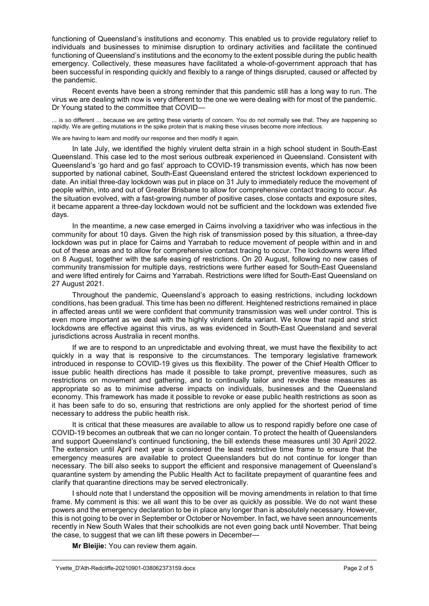functioning of Queensland's institutions and economy. This enabled us to provide regulatory relief to individuals and businesses to minimise disruption to ordinary activities and facilitate the continued functioning of Queensland's institutions and the economy to the extent possible during the public health emergency. Collectively, these measures have facilitated a whole-of-government approach that has been successful in responding quickly and flexibly to a range of things disrupted, caused or affected by the pandemic.

Recent events have been a strong reminder that this pandemic still has a long way to run. The virus we are dealing with now is very different to the one we were dealing with for most of the pandemic. Dr Young stated to the committee that COVID—

... is so different ... because we are getting these variants of concern. You do not normally see that. They are happening so rapidly. We are getting mutations in the spike protein that is making these viruses become more infectious.

We are having to learn and modify our response and then modify it again.

In late July, we identified the highly virulent delta strain in a high school student in South-East Queensland. This case led to the most serious outbreak experienced in Queensland. Consistent with Queensland's 'go hard and go fast' approach to COVID-19 transmission events, which has now been supported by national cabinet, South-East Queensland entered the strictest lockdown experienced to date. An initial three-day lockdown was put in place on 31 July to immediately reduce the movement of people within, into and out of Greater Brisbane to allow for comprehensive contact tracing to occur. As the situation evolved, with a fast-growing number of positive cases, close contacts and exposure sites, it became apparent a three-day lockdown would not be sufficient and the lockdown was extended five days.

In the meantime, a new case emerged in Cairns involving a taxidriver who was infectious in the community for about 10 days. Given the high risk of transmission posed by this situation, a three-day lockdown was put in place for Cairns and Yarrabah to reduce movement of people within and in and out of these areas and to allow for comprehensive contact tracing to occur. The lockdowns were lifted on 8 August, together with the safe easing of restrictions. On 20 August, following no new cases of community transmission for multiple days, restrictions were further eased for South-East Queensland and were lifted entirely for Cairns and Yarrabah. Restrictions were lifted for South-East Queensland on 27 August 2021.

Throughout the pandemic, Queensland's approach to easing restrictions, including lockdown conditions, has been gradual. This time has been no different. Heightened restrictions remained in place in affected areas until we were confident that community transmission was well under control. This is even more important as we deal with the highly virulent delta variant. We know that rapid and strict lockdowns are effective against this virus, as was evidenced in South-East Queensland and several jurisdictions across Australia in recent months.

If we are to respond to an unpredictable and evolving threat, we must have the flexibility to act quickly in a way that is responsive to the circumstances. The temporary legislative framework introduced in response to COVID-19 gives us this flexibility. The power of the Chief Health Officer to issue public health directions has made it possible to take prompt, preventive measures, such as restrictions on movement and gathering, and to continually tailor and revoke these measures as appropriate so as to minimise adverse impacts on individuals, businesses and the Queensland economy. This framework has made it possible to revoke or ease public health restrictions as soon as it has been safe to do so, ensuring that restrictions are only applied for the shortest period of time necessary to address the public health risk.

It is critical that these measures are available to allow us to respond rapidly before one case of COVID-19 becomes an outbreak that we can no longer contain. To protect the health of Queenslanders and support Queensland's continued functioning, the bill extends these measures until 30 April 2022. The extension until April next year is considered the least restrictive time frame to ensure that the emergency measures are available to protect Queenslanders but do not continue for longer than necessary. The bill also seeks to support the efficient and responsive management of Queensland's quarantine system by amending the Public Health Act to facilitate prepayment of quarantine fees and clarify that quarantine directions may be served electronically.

I should note that I understand the opposition will be moving amendments in relation to that time frame. My comment is this: we all want this to be over as quickly as possible. We do not want these powers and the emergency declaration to be in place any longer than is absolutely necessary. However, this is not going to be over in September or October or November. In fact, we have seen announcements recently in New South Wales that their schoolkids are not even going back until November. That being the case, to suggest that we can lift these powers in December—

**Mr Bleijie:** You can review them again.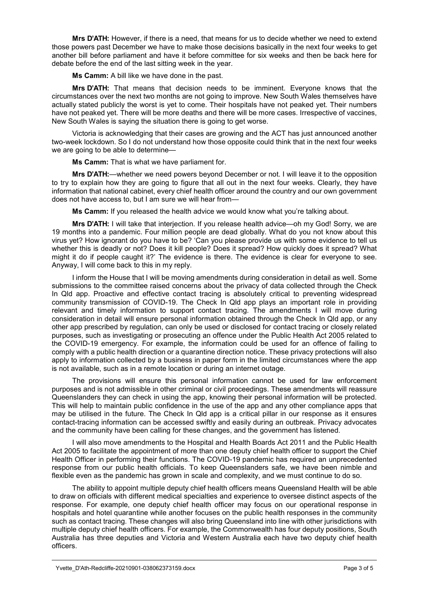**Mrs D'ATH:** However, if there is a need, that means for us to decide whether we need to extend those powers past December we have to make those decisions basically in the next four weeks to get another bill before parliament and have it before committee for six weeks and then be back here for debate before the end of the last sitting week in the year.

**Ms Camm:** A bill like we have done in the past.

**Mrs D'ATH:** That means that decision needs to be imminent. Everyone knows that the circumstances over the next two months are not going to improve. New South Wales themselves have actually stated publicly the worst is yet to come. Their hospitals have not peaked yet. Their numbers have not peaked yet. There will be more deaths and there will be more cases. Irrespective of vaccines, New South Wales is saying the situation there is going to get worse.

Victoria is acknowledging that their cases are growing and the ACT has just announced another two-week lockdown. So I do not understand how those opposite could think that in the next four weeks we are going to be able to determine—

**Ms Camm:** That is what we have parliament for.

**Mrs D'ATH:**—whether we need powers beyond December or not. I will leave it to the opposition to try to explain how they are going to figure that all out in the next four weeks. Clearly, they have information that national cabinet, every chief health officer around the country and our own government does not have access to, but I am sure we will hear from—

**Ms Camm:** If you released the health advice we would know what you're talking about.

**Mrs D'ATH:** I will take that interjection. If you release health advice—oh my God! Sorry, we are 19 months into a pandemic. Four million people are dead globally. What do you not know about this virus yet? How ignorant do you have to be? 'Can you please provide us with some evidence to tell us whether this is deadly or not? Does it kill people? Does it spread? How quickly does it spread? What might it do if people caught it?' The evidence is there. The evidence is clear for everyone to see. Anyway, I will come back to this in my reply.

I inform the House that I will be moving amendments during consideration in detail as well. Some submissions to the committee raised concerns about the privacy of data collected through the Check In Qld app. Proactive and effective contact tracing is absolutely critical to preventing widespread community transmission of COVID-19. The Check In Qld app plays an important role in providing relevant and timely information to support contact tracing. The amendments I will move during consideration in detail will ensure personal information obtained through the Check In Qld app, or any other app prescribed by regulation, can only be used or disclosed for contact tracing or closely related purposes, such as investigating or prosecuting an offence under the Public Health Act 2005 related to the COVID-19 emergency. For example, the information could be used for an offence of failing to comply with a public health direction or a quarantine direction notice. These privacy protections will also apply to information collected by a business in paper form in the limited circumstances where the app is not available, such as in a remote location or during an internet outage.

The provisions will ensure this personal information cannot be used for law enforcement purposes and is not admissible in other criminal or civil proceedings. These amendments will reassure Queenslanders they can check in using the app, knowing their personal information will be protected. This will help to maintain public confidence in the use of the app and any other compliance apps that may be utilised in the future. The Check In Qld app is a critical pillar in our response as it ensures contact-tracing information can be accessed swiftly and easily during an outbreak. Privacy advocates and the community have been calling for these changes, and the government has listened.

I will also move amendments to the Hospital and Health Boards Act 2011 and the Public Health Act 2005 to facilitate the appointment of more than one deputy chief health officer to support the Chief Health Officer in performing their functions. The COVID-19 pandemic has required an unprecedented response from our public health officials. To keep Queenslanders safe, we have been nimble and flexible even as the pandemic has grown in scale and complexity, and we must continue to do so.

The ability to appoint multiple deputy chief health officers means Queensland Health will be able to draw on officials with different medical specialties and experience to oversee distinct aspects of the response. For example, one deputy chief health officer may focus on our operational response in hospitals and hotel quarantine while another focuses on the public health responses in the community such as contact tracing. These changes will also bring Queensland into line with other jurisdictions with multiple deputy chief health officers. For example, the Commonwealth has four deputy positions, South Australia has three deputies and Victoria and Western Australia each have two deputy chief health officers.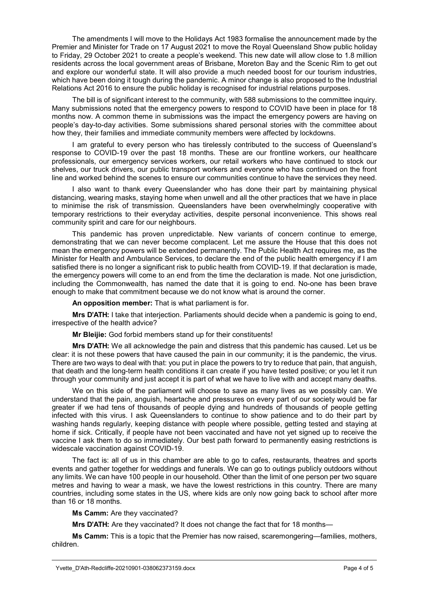The amendments I will move to the Holidays Act 1983 formalise the announcement made by the Premier and Minister for Trade on 17 August 2021 to move the Royal Queensland Show public holiday to Friday, 29 October 2021 to create a people's weekend. This new date will allow close to 1.8 million residents across the local government areas of Brisbane, Moreton Bay and the Scenic Rim to get out and explore our wonderful state. It will also provide a much needed boost for our tourism industries, which have been doing it tough during the pandemic. A minor change is also proposed to the Industrial Relations Act 2016 to ensure the public holiday is recognised for industrial relations purposes.

The bill is of significant interest to the community, with 588 submissions to the committee inquiry. Many submissions noted that the emergency powers to respond to COVID have been in place for 18 months now. A common theme in submissions was the impact the emergency powers are having on people's day-to-day activities. Some submissions shared personal stories with the committee about how they, their families and immediate community members were affected by lockdowns.

I am grateful to every person who has tirelessly contributed to the success of Queensland's response to COVID-19 over the past 18 months. These are our frontline workers, our healthcare professionals, our emergency services workers, our retail workers who have continued to stock our shelves, our truck drivers, our public transport workers and everyone who has continued on the front line and worked behind the scenes to ensure our communities continue to have the services they need.

I also want to thank every Queenslander who has done their part by maintaining physical distancing, wearing masks, staying home when unwell and all the other practices that we have in place to minimise the risk of transmission. Queenslanders have been overwhelmingly cooperative with temporary restrictions to their everyday activities, despite personal inconvenience. This shows real community spirit and care for our neighbours.

This pandemic has proven unpredictable. New variants of concern continue to emerge, demonstrating that we can never become complacent. Let me assure the House that this does not mean the emergency powers will be extended permanently. The Public Health Act requires me, as the Minister for Health and Ambulance Services, to declare the end of the public health emergency if I am satisfied there is no longer a significant risk to public health from COVID-19. If that declaration is made, the emergency powers will come to an end from the time the declaration is made. Not one jurisdiction, including the Commonwealth, has named the date that it is going to end. No-one has been brave enough to make that commitment because we do not know what is around the corner.

**An opposition member:** That is what parliament is for.

**Mrs D'ATH:** I take that interjection. Parliaments should decide when a pandemic is going to end, irrespective of the health advice?

**Mr Bleijie:** God forbid members stand up for their constituents!

**Mrs D'ATH:** We all acknowledge the pain and distress that this pandemic has caused. Let us be clear: it is not these powers that have caused the pain in our community; it is the pandemic, the virus. There are two ways to deal with that: you put in place the powers to try to reduce that pain, that anguish, that death and the long-term health conditions it can create if you have tested positive; or you let it run through your community and just accept it is part of what we have to live with and accept many deaths.

We on this side of the parliament will choose to save as many lives as we possibly can. We understand that the pain, anguish, heartache and pressures on every part of our society would be far greater if we had tens of thousands of people dying and hundreds of thousands of people getting infected with this virus. I ask Queenslanders to continue to show patience and to do their part by washing hands regularly, keeping distance with people where possible, getting tested and staying at home if sick. Critically, if people have not been vaccinated and have not yet signed up to receive the vaccine I ask them to do so immediately. Our best path forward to permanently easing restrictions is widescale vaccination against COVID-19.

The fact is: all of us in this chamber are able to go to cafes, restaurants, theatres and sports events and gather together for weddings and funerals. We can go to outings publicly outdoors without any limits. We can have 100 people in our household. Other than the limit of one person per two square metres and having to wear a mask, we have the lowest restrictions in this country. There are many countries, including some states in the US, where kids are only now going back to school after more than 16 or 18 months.

**Ms Camm:** Are they vaccinated?

**Mrs D'ATH:** Are they vaccinated? It does not change the fact that for 18 months—

**Ms Camm:** This is a topic that the Premier has now raised, scaremongering—families, mothers, children.